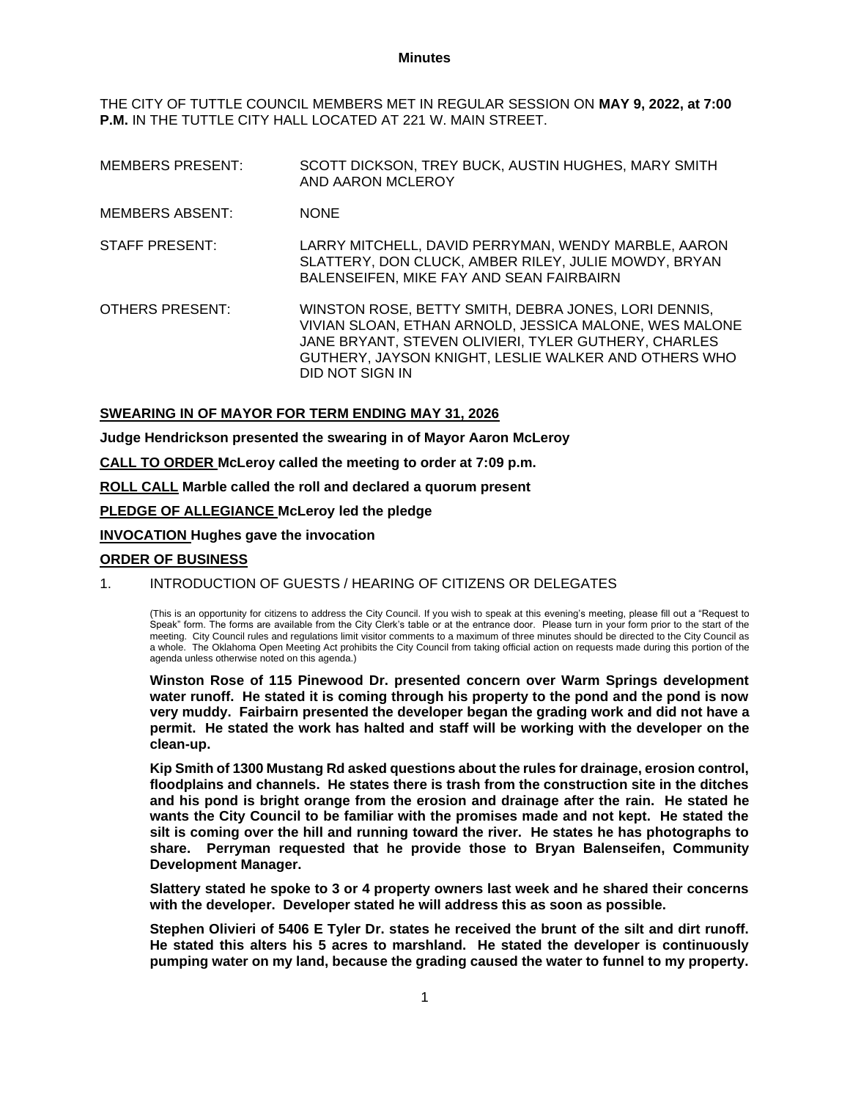#### **Minutes**

THE CITY OF TUTTLE COUNCIL MEMBERS MET IN REGULAR SESSION ON **MAY 9, 2022, at 7:00 P.M.** IN THE TUTTLE CITY HALL LOCATED AT 221 W. MAIN STREET.

- MEMBERS PRESENT: SCOTT DICKSON, TREY BUCK, AUSTIN HUGHES, MARY SMITH AND AARON MCLEROY
- MEMBERS ABSENT: NONE
- STAFF PRESENT: LARRY MITCHELL, DAVID PERRYMAN, WENDY MARBLE, AARON SLATTERY, DON CLUCK, AMBER RILEY, JULIE MOWDY, BRYAN BALENSEIFEN, MIKE FAY AND SEAN FAIRBAIRN
- OTHERS PRESENT: WINSTON ROSE, BETTY SMITH, DEBRA JONES, LORI DENNIS, VIVIAN SLOAN, ETHAN ARNOLD, JESSICA MALONE, WES MALONE JANE BRYANT, STEVEN OLIVIERI, TYLER GUTHERY, CHARLES GUTHERY, JAYSON KNIGHT, LESLIE WALKER AND OTHERS WHO DID NOT SIGN IN

## **SWEARING IN OF MAYOR FOR TERM ENDING MAY 31, 2026**

**Judge Hendrickson presented the swearing in of Mayor Aaron McLeroy**

**CALL TO ORDER McLeroy called the meeting to order at 7:09 p.m.**

**ROLL CALL Marble called the roll and declared a quorum present**

**PLEDGE OF ALLEGIANCE McLeroy led the pledge**

#### **INVOCATION Hughes gave the invocation**

#### **ORDER OF BUSINESS**

# 1. INTRODUCTION OF GUESTS / HEARING OF CITIZENS OR DELEGATES

(This is an opportunity for citizens to address the City Council. If you wish to speak at this evening's meeting, please fill out a "Request to Speak" form. The forms are available from the City Clerk's table or at the entrance door. Please turn in your form prior to the start of the meeting. City Council rules and regulations limit visitor comments to a maximum of three minutes should be directed to the City Council as a whole. The Oklahoma Open Meeting Act prohibits the City Council from taking official action on requests made during this portion of the agenda unless otherwise noted on this agenda.)

**Winston Rose of 115 Pinewood Dr. presented concern over Warm Springs development water runoff. He stated it is coming through his property to the pond and the pond is now very muddy. Fairbairn presented the developer began the grading work and did not have a permit. He stated the work has halted and staff will be working with the developer on the clean-up.**

**Kip Smith of 1300 Mustang Rd asked questions about the rules for drainage, erosion control, floodplains and channels. He states there is trash from the construction site in the ditches and his pond is bright orange from the erosion and drainage after the rain. He stated he wants the City Council to be familiar with the promises made and not kept. He stated the silt is coming over the hill and running toward the river. He states he has photographs to share. Perryman requested that he provide those to Bryan Balenseifen, Community Development Manager.**

**Slattery stated he spoke to 3 or 4 property owners last week and he shared their concerns with the developer. Developer stated he will address this as soon as possible.**

**Stephen Olivieri of 5406 E Tyler Dr. states he received the brunt of the silt and dirt runoff. He stated this alters his 5 acres to marshland. He stated the developer is continuously pumping water on my land, because the grading caused the water to funnel to my property.**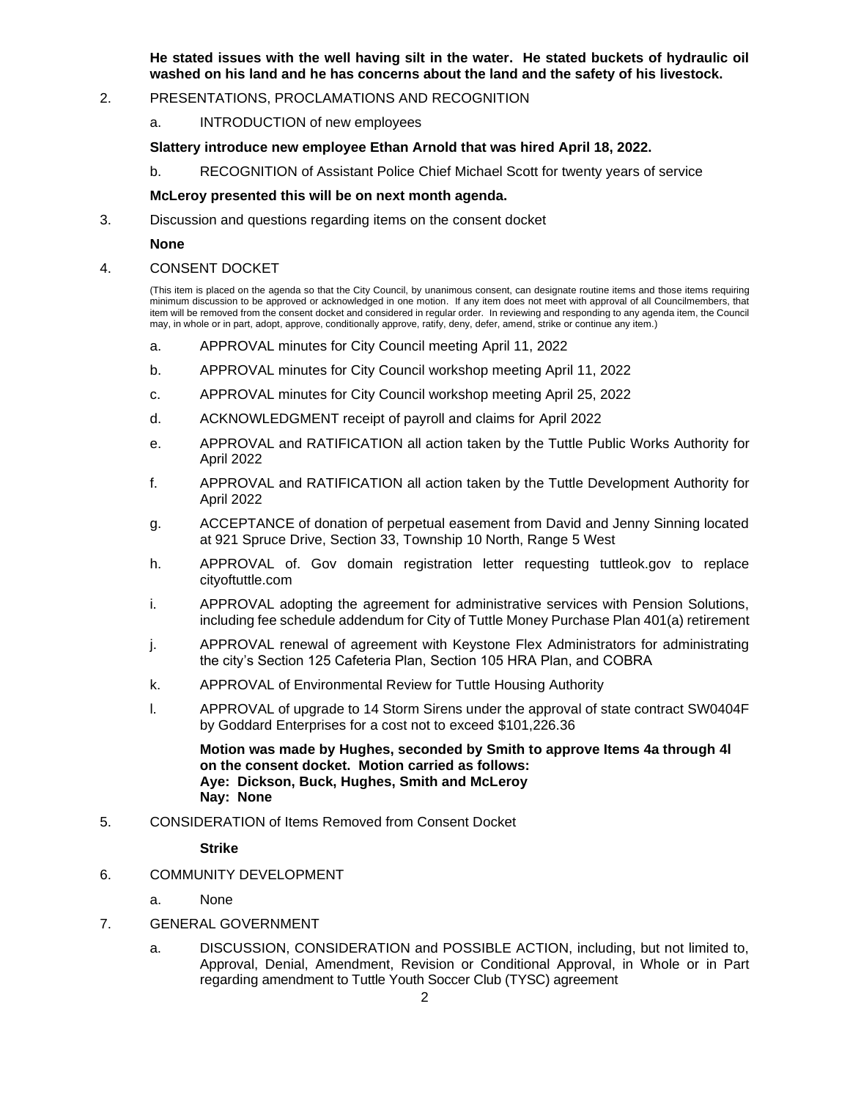**He stated issues with the well having silt in the water. He stated buckets of hydraulic oil washed on his land and he has concerns about the land and the safety of his livestock.** 

# 2. PRESENTATIONS, PROCLAMATIONS AND RECOGNITION

a. INTRODUCTION of new employees

## **Slattery introduce new employee Ethan Arnold that was hired April 18, 2022.**

b. RECOGNITION of Assistant Police Chief Michael Scott for twenty years of service

## **McLeroy presented this will be on next month agenda.**

3. Discussion and questions regarding items on the consent docket

#### **None**

#### 4. CONSENT DOCKET

(This item is placed on the agenda so that the City Council, by unanimous consent, can designate routine items and those items requiring minimum discussion to be approved or acknowledged in one motion. If any item does not meet with approval of all Councilmembers, that item will be removed from the consent docket and considered in regular order. In reviewing and responding to any agenda item, the Council may, in whole or in part, adopt, approve, conditionally approve, ratify, deny, defer, amend, strike or continue any item.)

- a. APPROVAL minutes for City Council meeting April 11, 2022
- b. APPROVAL minutes for City Council workshop meeting April 11, 2022
- c. APPROVAL minutes for City Council workshop meeting April 25, 2022
- d. ACKNOWLEDGMENT receipt of payroll and claims for April 2022
- e. APPROVAL and RATIFICATION all action taken by the Tuttle Public Works Authority for April 2022
- f. APPROVAL and RATIFICATION all action taken by the Tuttle Development Authority for April 2022
- g. ACCEPTANCE of donation of perpetual easement from David and Jenny Sinning located at 921 Spruce Drive, Section 33, Township 10 North, Range 5 West
- h. APPROVAL of. Gov domain registration letter requesting tuttleok.gov to replace cityoftuttle.com
- i. APPROVAL adopting the agreement for administrative services with Pension Solutions, including fee schedule addendum for City of Tuttle Money Purchase Plan 401(a) retirement
- j. APPROVAL renewal of agreement with Keystone Flex Administrators for administrating the city's Section 125 Cafeteria Plan, Section 105 HRA Plan, and COBRA
- k. APPROVAL of Environmental Review for Tuttle Housing Authority
- l. APPROVAL of upgrade to 14 Storm Sirens under the approval of state contract SW0404F by Goddard Enterprises for a cost not to exceed \$101,226.36

**Motion was made by Hughes, seconded by Smith to approve Items 4a through 4l on the consent docket. Motion carried as follows: Aye: Dickson, Buck, Hughes, Smith and McLeroy Nay: None**

5. CONSIDERATION of Items Removed from Consent Docket

**Strike**

- 6. COMMUNITY DEVELOPMENT
	- a. None
- 7. GENERAL GOVERNMENT
	- a. DISCUSSION, CONSIDERATION and POSSIBLE ACTION, including, but not limited to, Approval, Denial, Amendment, Revision or Conditional Approval, in Whole or in Part regarding amendment to Tuttle Youth Soccer Club (TYSC) agreement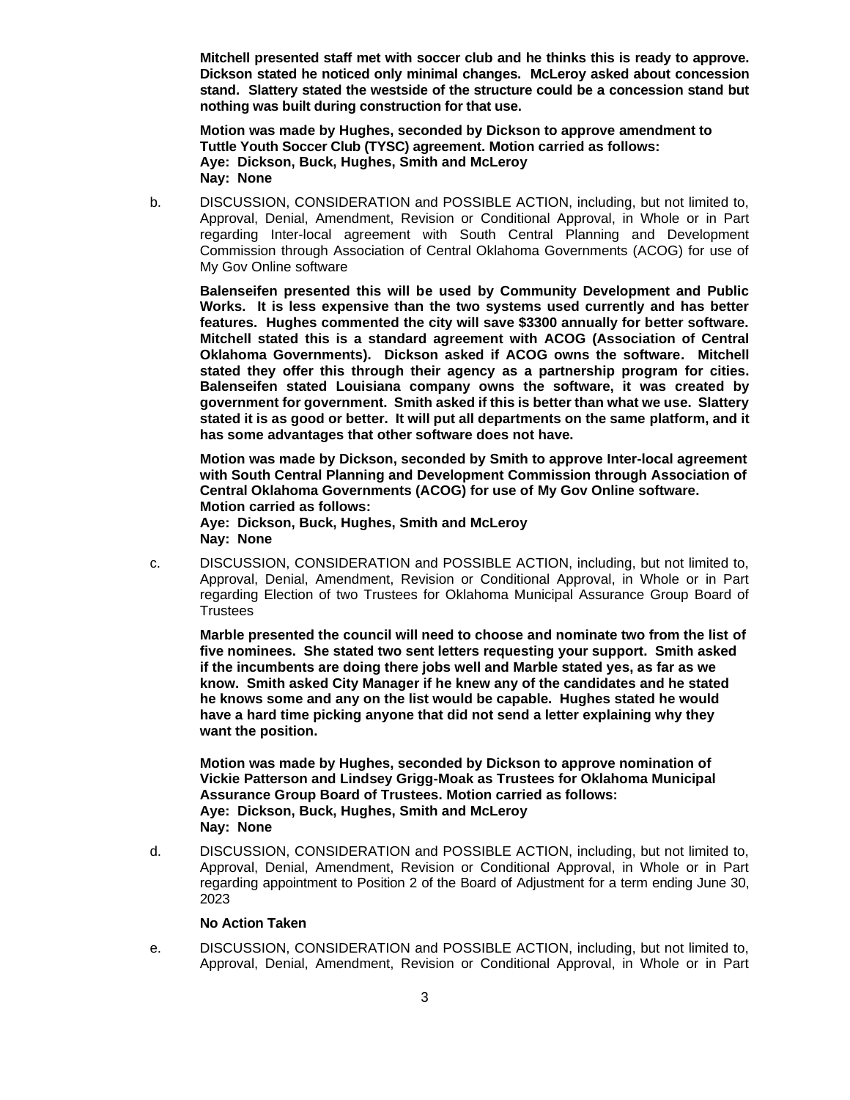**Mitchell presented staff met with soccer club and he thinks this is ready to approve. Dickson stated he noticed only minimal changes. McLeroy asked about concession stand. Slattery stated the westside of the structure could be a concession stand but nothing was built during construction for that use.**

**Motion was made by Hughes, seconded by Dickson to approve amendment to Tuttle Youth Soccer Club (TYSC) agreement. Motion carried as follows: Aye: Dickson, Buck, Hughes, Smith and McLeroy Nay: None**

b. DISCUSSION, CONSIDERATION and POSSIBLE ACTION, including, but not limited to, Approval, Denial, Amendment, Revision or Conditional Approval, in Whole or in Part regarding Inter-local agreement with South Central Planning and Development Commission through Association of Central Oklahoma Governments (ACOG) for use of My Gov Online software

**Balenseifen presented this will be used by Community Development and Public Works. It is less expensive than the two systems used currently and has better features. Hughes commented the city will save \$3300 annually for better software. Mitchell stated this is a standard agreement with ACOG (Association of Central Oklahoma Governments). Dickson asked if ACOG owns the software. Mitchell stated they offer this through their agency as a partnership program for cities. Balenseifen stated Louisiana company owns the software, it was created by government for government. Smith asked if this is better than what we use. Slattery stated it is as good or better. It will put all departments on the same platform, and it has some advantages that other software does not have.**

**Motion was made by Dickson, seconded by Smith to approve Inter-local agreement with South Central Planning and Development Commission through Association of Central Oklahoma Governments (ACOG) for use of My Gov Online software. Motion carried as follows: Aye: Dickson, Buck, Hughes, Smith and McLeroy**

**Nay: None**

c. DISCUSSION, CONSIDERATION and POSSIBLE ACTION, including, but not limited to, Approval, Denial, Amendment, Revision or Conditional Approval, in Whole or in Part regarding Election of two Trustees for Oklahoma Municipal Assurance Group Board of **Trustees** 

**Marble presented the council will need to choose and nominate two from the list of five nominees. She stated two sent letters requesting your support. Smith asked if the incumbents are doing there jobs well and Marble stated yes, as far as we know. Smith asked City Manager if he knew any of the candidates and he stated he knows some and any on the list would be capable. Hughes stated he would have a hard time picking anyone that did not send a letter explaining why they want the position.** 

**Motion was made by Hughes, seconded by Dickson to approve nomination of Vickie Patterson and Lindsey Grigg-Moak as Trustees for Oklahoma Municipal Assurance Group Board of Trustees. Motion carried as follows: Aye: Dickson, Buck, Hughes, Smith and McLeroy Nay: None**

d. DISCUSSION, CONSIDERATION and POSSIBLE ACTION, including, but not limited to, Approval, Denial, Amendment, Revision or Conditional Approval, in Whole or in Part regarding appointment to Position 2 of the Board of Adjustment for a term ending June 30, 2023

# **No Action Taken**

e. DISCUSSION, CONSIDERATION and POSSIBLE ACTION, including, but not limited to, Approval, Denial, Amendment, Revision or Conditional Approval, in Whole or in Part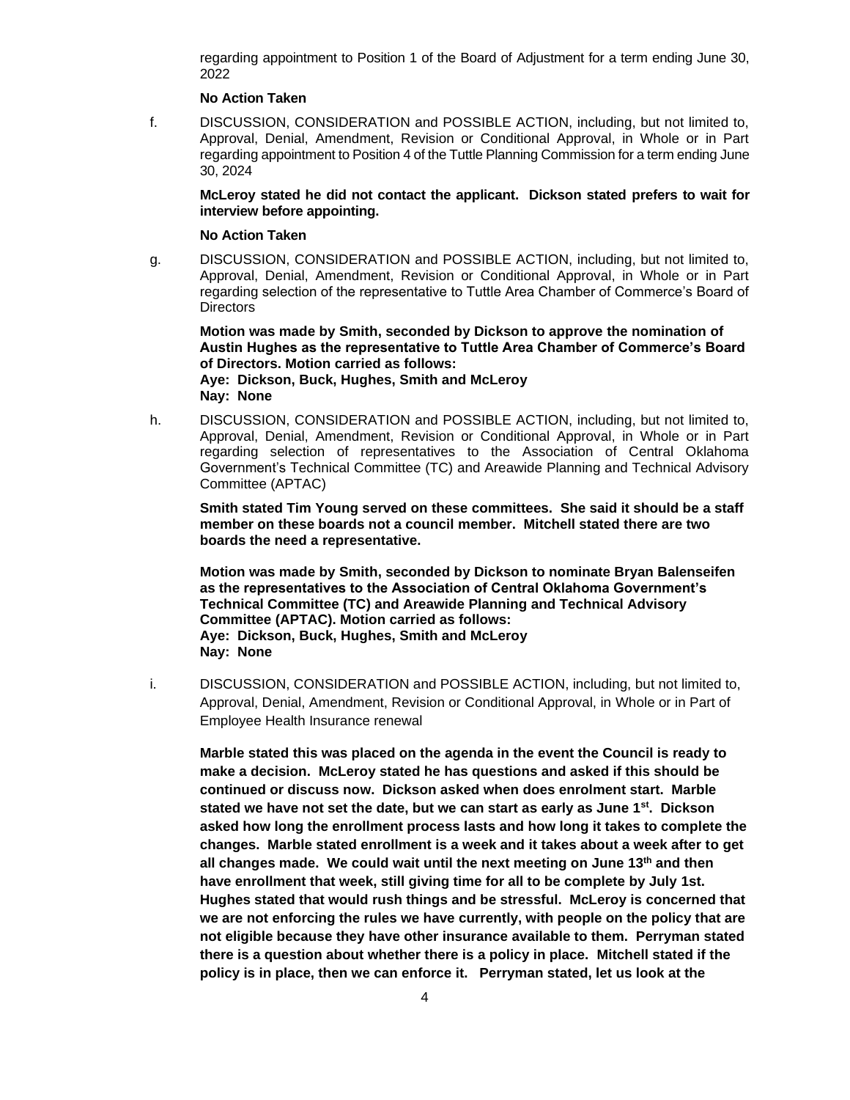regarding appointment to Position 1 of the Board of Adjustment for a term ending June 30, 2022

# **No Action Taken**

f. DISCUSSION, CONSIDERATION and POSSIBLE ACTION, including, but not limited to, Approval, Denial, Amendment, Revision or Conditional Approval, in Whole or in Part regarding appointment to Position 4 of the Tuttle Planning Commission for a term ending June 30, 2024

**McLeroy stated he did not contact the applicant. Dickson stated prefers to wait for interview before appointing.**

### **No Action Taken**

g. DISCUSSION, CONSIDERATION and POSSIBLE ACTION, including, but not limited to, Approval, Denial, Amendment, Revision or Conditional Approval, in Whole or in Part regarding selection of the representative to Tuttle Area Chamber of Commerce's Board of **Directors** 

**Motion was made by Smith, seconded by Dickson to approve the nomination of Austin Hughes as the representative to Tuttle Area Chamber of Commerce's Board of Directors. Motion carried as follows: Aye: Dickson, Buck, Hughes, Smith and McLeroy Nay: None**

h. DISCUSSION, CONSIDERATION and POSSIBLE ACTION, including, but not limited to, Approval, Denial, Amendment, Revision or Conditional Approval, in Whole or in Part regarding selection of representatives to the Association of Central Oklahoma Government's Technical Committee (TC) and Areawide Planning and Technical Advisory Committee (APTAC)

**Smith stated Tim Young served on these committees. She said it should be a staff member on these boards not a council member. Mitchell stated there are two boards the need a representative.** 

**Motion was made by Smith, seconded by Dickson to nominate Bryan Balenseifen as the representatives to the Association of Central Oklahoma Government's Technical Committee (TC) and Areawide Planning and Technical Advisory Committee (APTAC). Motion carried as follows: Aye: Dickson, Buck, Hughes, Smith and McLeroy Nay: None**

i. DISCUSSION, CONSIDERATION and POSSIBLE ACTION, including, but not limited to, Approval, Denial, Amendment, Revision or Conditional Approval, in Whole or in Part of Employee Health Insurance renewal

**Marble stated this was placed on the agenda in the event the Council is ready to make a decision. McLeroy stated he has questions and asked if this should be continued or discuss now. Dickson asked when does enrolment start. Marble stated we have not set the date, but we can start as early as June 1st. Dickson asked how long the enrollment process lasts and how long it takes to complete the changes. Marble stated enrollment is a week and it takes about a week after to get all changes made. We could wait until the next meeting on June 13th and then have enrollment that week, still giving time for all to be complete by July 1st. Hughes stated that would rush things and be stressful. McLeroy is concerned that we are not enforcing the rules we have currently, with people on the policy that are not eligible because they have other insurance available to them. Perryman stated there is a question about whether there is a policy in place. Mitchell stated if the policy is in place, then we can enforce it. Perryman stated, let us look at the**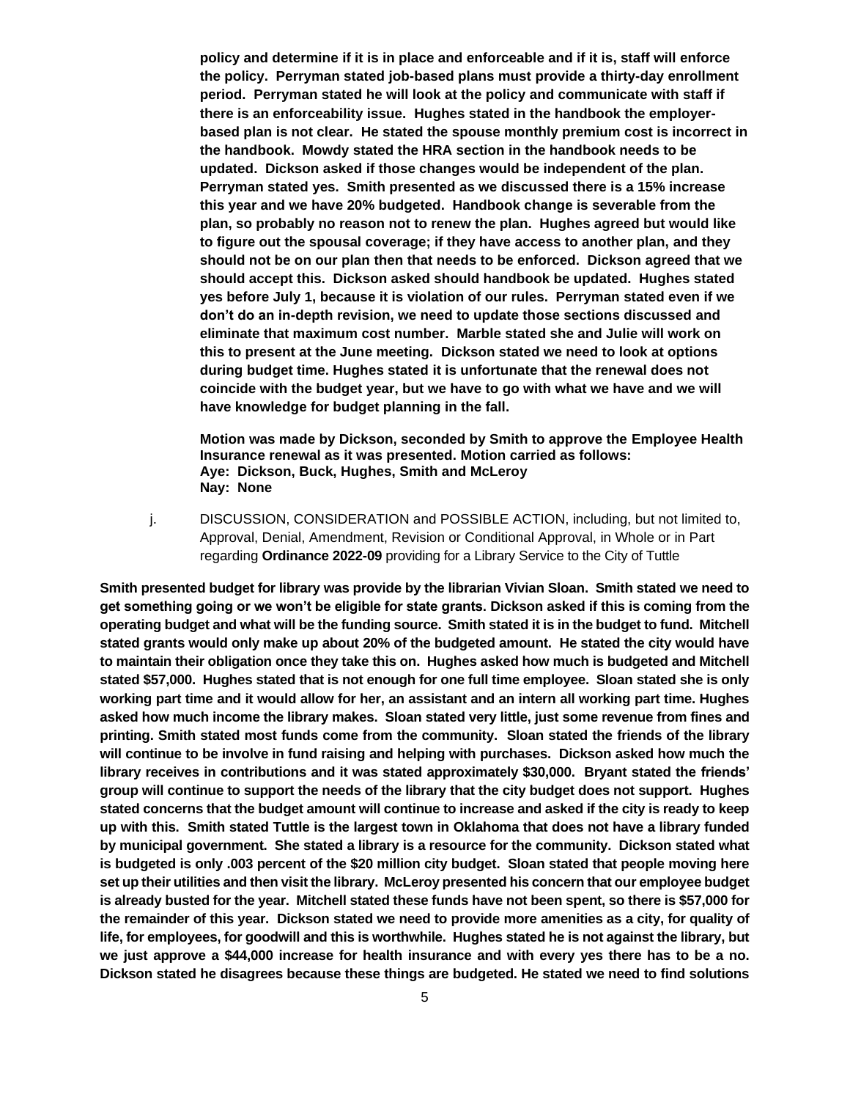**policy and determine if it is in place and enforceable and if it is, staff will enforce the policy. Perryman stated job-based plans must provide a thirty-day enrollment period. Perryman stated he will look at the policy and communicate with staff if there is an enforceability issue. Hughes stated in the handbook the employerbased plan is not clear. He stated the spouse monthly premium cost is incorrect in the handbook. Mowdy stated the HRA section in the handbook needs to be updated. Dickson asked if those changes would be independent of the plan. Perryman stated yes. Smith presented as we discussed there is a 15% increase this year and we have 20% budgeted. Handbook change is severable from the plan, so probably no reason not to renew the plan. Hughes agreed but would like to figure out the spousal coverage; if they have access to another plan, and they should not be on our plan then that needs to be enforced. Dickson agreed that we should accept this. Dickson asked should handbook be updated. Hughes stated yes before July 1, because it is violation of our rules. Perryman stated even if we don't do an in-depth revision, we need to update those sections discussed and eliminate that maximum cost number. Marble stated she and Julie will work on this to present at the June meeting. Dickson stated we need to look at options during budget time. Hughes stated it is unfortunate that the renewal does not coincide with the budget year, but we have to go with what we have and we will have knowledge for budget planning in the fall.**

**Motion was made by Dickson, seconded by Smith to approve the Employee Health Insurance renewal as it was presented. Motion carried as follows: Aye: Dickson, Buck, Hughes, Smith and McLeroy Nay: None**

j. DISCUSSION, CONSIDERATION and POSSIBLE ACTION, including, but not limited to, Approval, Denial, Amendment, Revision or Conditional Approval, in Whole or in Part regarding **Ordinance 2022-09** providing for a Library Service to the City of Tuttle

**Smith presented budget for library was provide by the librarian Vivian Sloan. Smith stated we need to get something going or we won't be eligible for state grants. Dickson asked if this is coming from the operating budget and what will be the funding source. Smith stated it is in the budget to fund. Mitchell stated grants would only make up about 20% of the budgeted amount. He stated the city would have to maintain their obligation once they take this on. Hughes asked how much is budgeted and Mitchell stated \$57,000. Hughes stated that is not enough for one full time employee. Sloan stated she is only working part time and it would allow for her, an assistant and an intern all working part time. Hughes asked how much income the library makes. Sloan stated very little, just some revenue from fines and printing. Smith stated most funds come from the community. Sloan stated the friends of the library will continue to be involve in fund raising and helping with purchases. Dickson asked how much the library receives in contributions and it was stated approximately \$30,000. Bryant stated the friends' group will continue to support the needs of the library that the city budget does not support. Hughes stated concerns that the budget amount will continue to increase and asked if the city is ready to keep up with this. Smith stated Tuttle is the largest town in Oklahoma that does not have a library funded by municipal government. She stated a library is a resource for the community. Dickson stated what is budgeted is only .003 percent of the \$20 million city budget. Sloan stated that people moving here set up their utilities and then visit the library. McLeroy presented his concern that our employee budget is already busted for the year. Mitchell stated these funds have not been spent, so there is \$57,000 for the remainder of this year. Dickson stated we need to provide more amenities as a city, for quality of life, for employees, for goodwill and this is worthwhile. Hughes stated he is not against the library, but we just approve a \$44,000 increase for health insurance and with every yes there has to be a no. Dickson stated he disagrees because these things are budgeted. He stated we need to find solutions**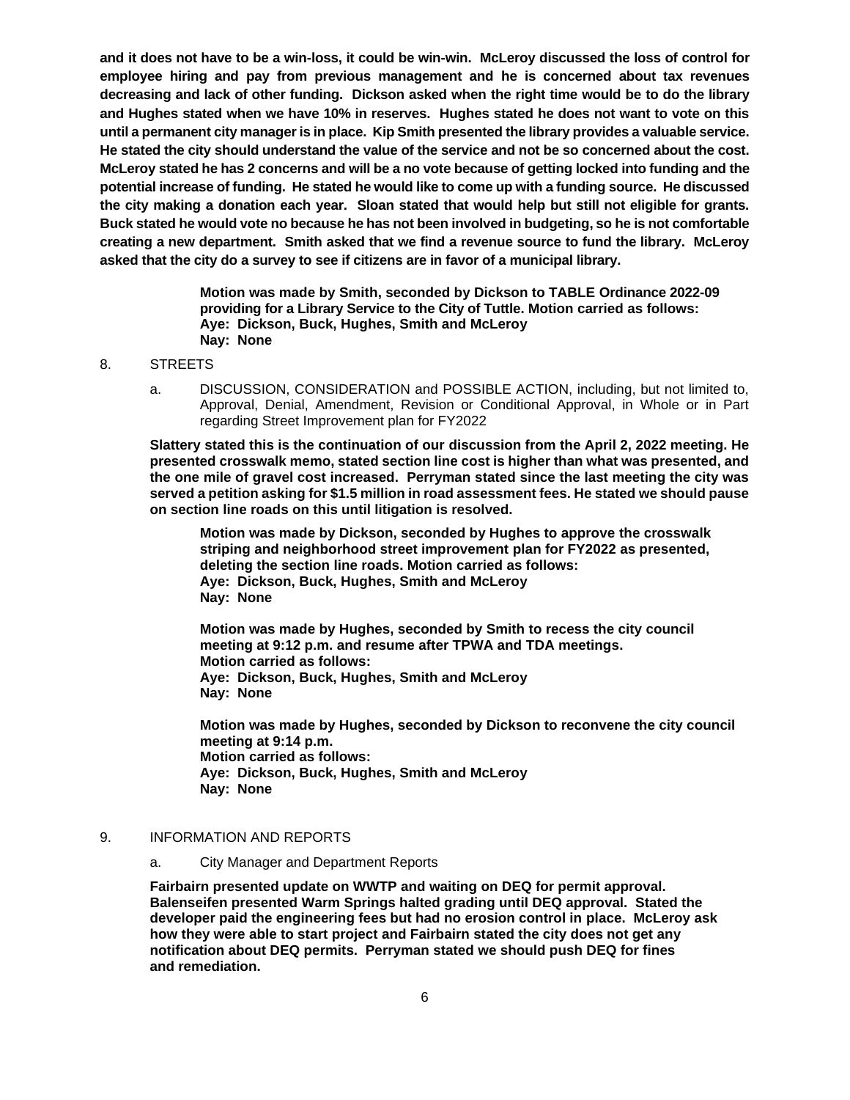**and it does not have to be a win-loss, it could be win-win. McLeroy discussed the loss of control for employee hiring and pay from previous management and he is concerned about tax revenues decreasing and lack of other funding. Dickson asked when the right time would be to do the library and Hughes stated when we have 10% in reserves. Hughes stated he does not want to vote on this until a permanent city manager is in place. Kip Smith presented the library provides a valuable service. He stated the city should understand the value of the service and not be so concerned about the cost. McLeroy stated he has 2 concerns and will be a no vote because of getting locked into funding and the potential increase of funding. He stated he would like to come up with a funding source. He discussed the city making a donation each year. Sloan stated that would help but still not eligible for grants. Buck stated he would vote no because he has not been involved in budgeting, so he is not comfortable creating a new department. Smith asked that we find a revenue source to fund the library. McLeroy asked that the city do a survey to see if citizens are in favor of a municipal library.** 

> **Motion was made by Smith, seconded by Dickson to TABLE Ordinance 2022-09 providing for a Library Service to the City of Tuttle. Motion carried as follows: Aye: Dickson, Buck, Hughes, Smith and McLeroy Nay: None**

#### 8. STREETS

a. DISCUSSION, CONSIDERATION and POSSIBLE ACTION, including, but not limited to, Approval, Denial, Amendment, Revision or Conditional Approval, in Whole or in Part regarding Street Improvement plan for FY2022

**Slattery stated this is the continuation of our discussion from the April 2, 2022 meeting. He presented crosswalk memo, stated section line cost is higher than what was presented, and the one mile of gravel cost increased. Perryman stated since the last meeting the city was served a petition asking for \$1.5 million in road assessment fees. He stated we should pause on section line roads on this until litigation is resolved.**

**Motion was made by Dickson, seconded by Hughes to approve the crosswalk striping and neighborhood street improvement plan for FY2022 as presented, deleting the section line roads. Motion carried as follows: Aye: Dickson, Buck, Hughes, Smith and McLeroy Nay: None**

**Motion was made by Hughes, seconded by Smith to recess the city council meeting at 9:12 p.m. and resume after TPWA and TDA meetings. Motion carried as follows: Aye: Dickson, Buck, Hughes, Smith and McLeroy Nay: None**

**Motion was made by Hughes, seconded by Dickson to reconvene the city council meeting at 9:14 p.m. Motion carried as follows: Aye: Dickson, Buck, Hughes, Smith and McLeroy Nay: None**

# 9. INFORMATION AND REPORTS

### a. City Manager and Department Reports

**Fairbairn presented update on WWTP and waiting on DEQ for permit approval. Balenseifen presented Warm Springs halted grading until DEQ approval. Stated the developer paid the engineering fees but had no erosion control in place. McLeroy ask how they were able to start project and Fairbairn stated the city does not get any notification about DEQ permits. Perryman stated we should push DEQ for fines and remediation.**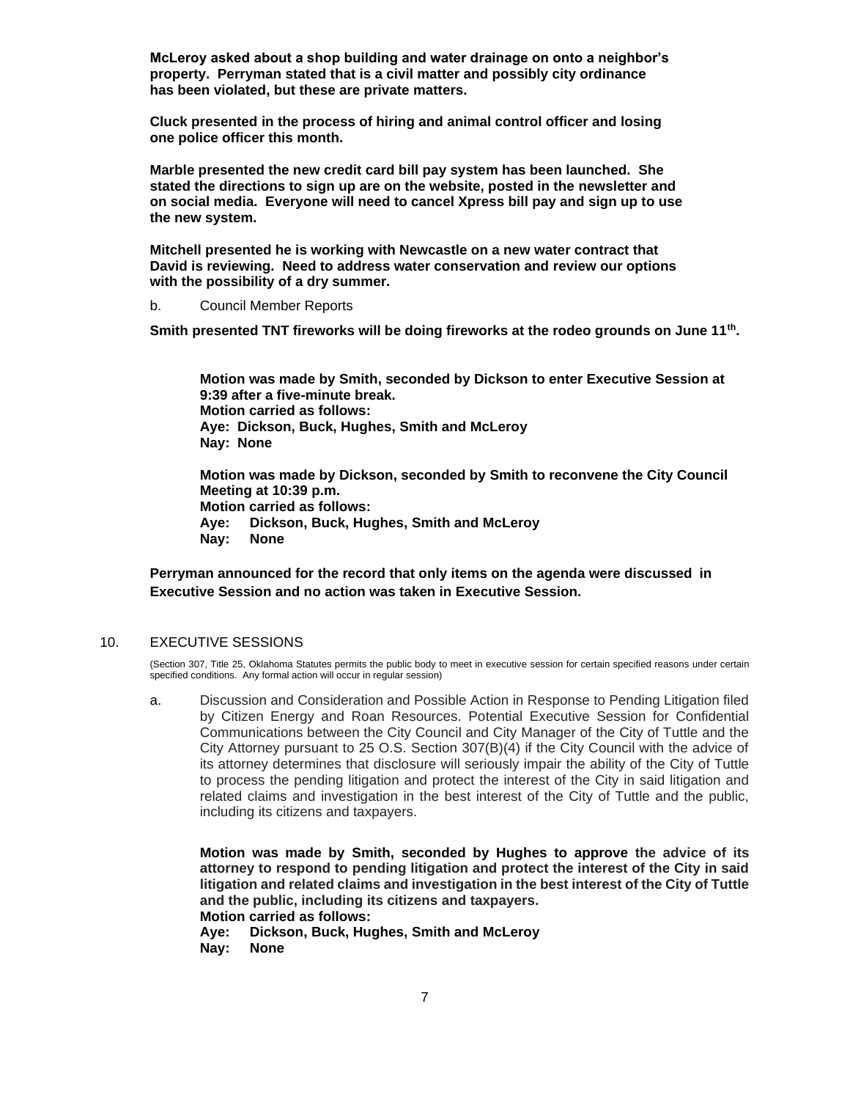**McLeroy asked about a shop building and water drainage on onto a neighbor's property. Perryman stated that is a civil matter and possibly city ordinance has been violated, but these are private matters.**

**Cluck presented in the process of hiring and animal control officer and losing one police officer this month.**

**Marble presented the new credit card bill pay system has been launched. She stated the directions to sign up are on the website, posted in the newsletter and on social media. Everyone will need to cancel Xpress bill pay and sign up to use the new system.** 

**Mitchell presented he is working with Newcastle on a new water contract that David is reviewing. Need to address water conservation and review our options with the possibility of a dry summer.**

b. Council Member Reports

**Smith presented TNT fireworks will be doing fireworks at the rodeo grounds on June 11th .**

**Motion was made by Smith, seconded by Dickson to enter Executive Session at 9:39 after a five-minute break. Motion carried as follows: Aye: Dickson, Buck, Hughes, Smith and McLeroy Nay: None**

**Motion was made by Dickson, seconded by Smith to reconvene the City Council Meeting at 10:39 p.m. Motion carried as follows: Aye: Dickson, Buck, Hughes, Smith and McLeroy Nay: None**

**Perryman announced for the record that only items on the agenda were discussed in Executive Session and no action was taken in Executive Session.**

## 10. EXECUTIVE SESSIONS

(Section 307, Title 25, Oklahoma Statutes permits the public body to meet in executive session for certain specified reasons under certain specified conditions. Any formal action will occur in regular session)

a. Discussion and Consideration and Possible Action in Response to Pending Litigation filed by Citizen Energy and Roan Resources. Potential Executive Session for Confidential Communications between the City Council and City Manager of the City of Tuttle and the City Attorney pursuant to 25 O.S. Section 307(B)(4) if the City Council with the advice of its attorney determines that disclosure will seriously impair the ability of the City of Tuttle to process the pending litigation and protect the interest of the City in said litigation and related claims and investigation in the best interest of the City of Tuttle and the public, including its citizens and taxpayers.

**Motion was made by Smith, seconded by Hughes to approve the advice of its attorney to respond to pending litigation and protect the interest of the City in said litigation and related claims and investigation in the best interest of the City of Tuttle and the public, including its citizens and taxpayers. Motion carried as follows:** 

**Aye: Dickson, Buck, Hughes, Smith and McLeroy Nay: None**